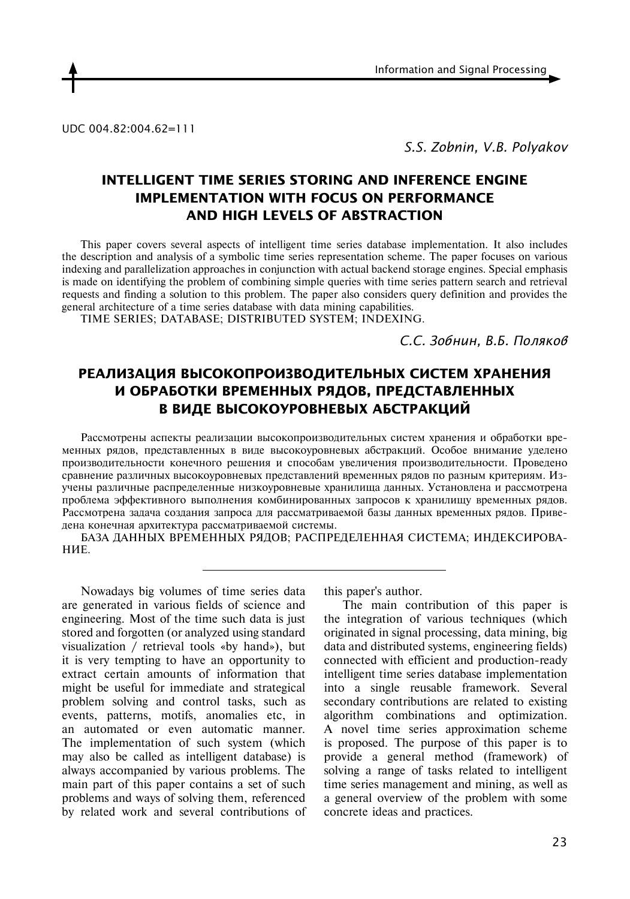UDC 004.82:004.62=111

*S.S. Zobnin, V.B. Polyakov*

## **INTELLIGENT TIME SERIES STORING AND INFERENCE ENGINE IMPLEMENTATION WITH FOCUS ON PERFORMANCE AND HIGH LEVELS OF ABSTRACTION**

This paper covers several aspects of intelligent time series database implementation. It also includes the description and analysis of a symbolic time series representation scheme. The paper focuses on various indexing and parallelization approaches in conjunction with actual backend storage engines. Special emphasis is made on identifying the problem of combining simple queries with time series pattern search and retrieval requests and finding a solution to this problem. The paper also considers query definition and provides the general architecture of a time series database with data mining capabilities.

TIME SERIES; DATABASE; DISTRIBUTED SYSTEM; INDEXING.

*С.С. Зобнин, В.Б. Поляков*

# **РЕАЛИЗАЦИЯ ВЫСОКОПРОИЗВОДИТЕЛЬНЫХ СИСТЕМ ХРАНЕНИЯ И ОБРАБОТКИ ВРЕМЕННЫХ РЯДОВ, ПРЕДСТАВЛЕННЫХ В ВИДЕ ВЫСОКОУРОВНЕВЫХ АБСТРАКЦИЙ**

Рассмотрены аспекты реализации высокопроизводительных систем хранения и обработки временных рядов, представленных в виде высокоуровневых абстракций. Особое внимание уделено производительности конечного решения и способам увеличения производительности. Проведено сравнение различных высокоуровневых представлений временных рядов по разным критериям. Изучены различные распределенные низкоуровневые хранилища данных. Установлена и рассмотрена проблема эффективного выполнения комбинированных запросов к хранилищу временных рядов. Рассмотрена задача создания запроса для рассматриваемой базы данных временных рядов. Приведена конечная архитектура рассматриваемой системы.

БАЗА ДАННЫХ ВРЕМЕННЫХ РЯДОВ; РАСПРЕДЕЛЕННАЯ СИСТЕМА; ИНДЕКСИРОВА-НИЕ.

Nowadays big volumes of time series data are generated in various fields of science and engineering. Most of the time such data is just stored and forgotten (or analyzed using standard visualization / retrieval tools «by hand»), but it is very tempting to have an opportunity to extract certain amounts of information that might be useful for immediate and strategical problem solving and control tasks, such as events, patterns, motifs, anomalies etc, in an automated or even automatic manner. The implementation of such system (which may also be called as intelligent database) is always accompanied by various problems. The main part of this paper contains a set of such problems and ways of solving them, referenced by related work and several contributions of this paper's author.

The main contribution of this paper is the integration of various techniques (which originated in signal processing, data mining, big data and distributed systems, engineering fields) connected with efficient and production-ready intelligent time series database implementation into a single reusable framework. Several secondary contributions are related to existing algorithm combinations and optimization. A novel time series approximation scheme is proposed. The purpose of this paper is to provide a general method (framework) of solving a range of tasks related to intelligent time series management and mining, as well as a general overview of the problem with some concrete ideas and practices.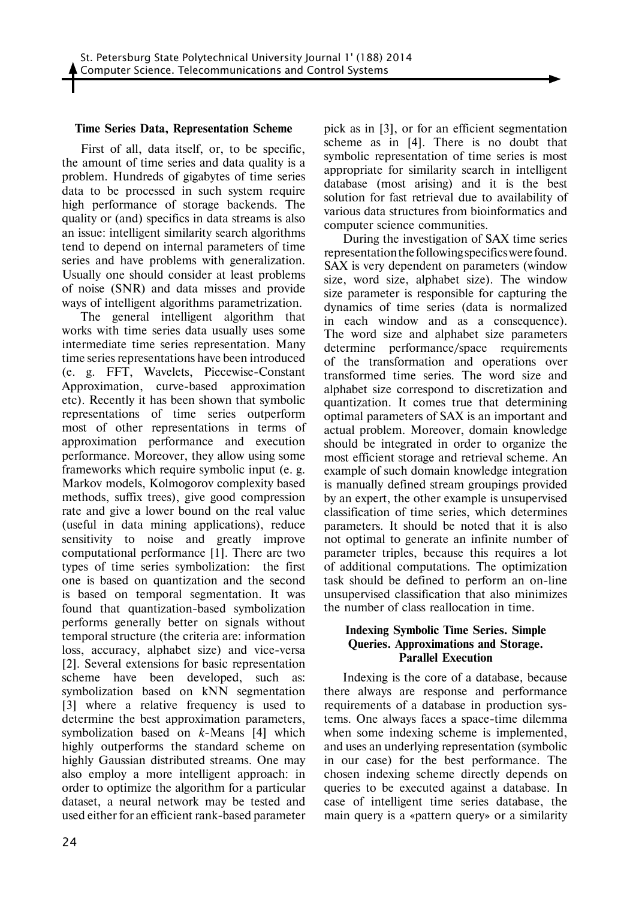#### **Time Series Data, Representation Scheme**

First of all, data itself, or, to be specific, the amount of time series and data quality is a problem. Hundreds of gigabytes of time series data to be processed in such system require high performance of storage backends. The quality or (and) specifics in data streams is also an issue: intelligent similarity search algorithms tend to depend on internal parameters of time series and have problems with generalization. Usually one should consider at least problems of noise (SNR) and data misses and provide ways of intelligent algorithms parametrization.

The general intelligent algorithm that works with time series data usually uses some intermediate time series representation. Many time series representations have been introduced (e. g. FFT, Wavelets, Piecewise-Constant Approximation, curve-based approximation etc). Recently it has been shown that symbolic representations of time series outperform most of other representations in terms of approximation performance and execution performance. Moreover, they allow using some frameworks which require symbolic input (e. g. Markov models, Kolmogorov complexity based methods, suffix trees), give good compression rate and give a lower bound on the real value (useful in data mining applications), reduce sensitivity to noise and greatly improve computational performance [1]. There are two types of time series symbolization: the first one is based on quantization and the second is based on temporal segmentation. It was found that quantization-based symbolization performs generally better on signals without temporal structure (the criteria are: information loss, accuracy, alphabet size) and vice-versa [2]. Several extensions for basic representation scheme have been developed, such as: symbolization based on kNN segmentation [3] where a relative frequency is used to determine the best approximation parameters, symbolization based on *k*-Means [4] which highly outperforms the standard scheme on highly Gaussian distributed streams. One may also employ a more intelligent approach: in order to optimize the algorithm for a particular dataset, a neural network may be tested and used either for an efficient rank-based parameter

pick as in [3], or for an efficient segmentation scheme as in [4]. There is no doubt that symbolic representation of time series is most appropriate for similarity search in intelligent database (most arising) and it is the best solution for fast retrieval due to availability of various data structures from bioinformatics and computer science communities.

During the investigation of SAX time series representation the following specifics were found. SAX is very dependent on parameters (window size, word size, alphabet size). The window size parameter is responsible for capturing the dynamics of time series (data is normalized in each window and as a consequence). The word size and alphabet size parameters determine performance/space requirements of the transformation and operations over transformed time series. The word size and alphabet size correspond to discretization and quantization. It comes true that determining optimal parameters of SAX is an important and actual problem. Moreover, domain knowledge should be integrated in order to organize the most efficient storage and retrieval scheme. An example of such domain knowledge integration is manually defined stream groupings provided by an expert, the other example is unsupervised classification of time series, which determines parameters. It should be noted that it is also not optimal to generate an infinite number of parameter triples, because this requires a lot of additional computations. The optimization task should be defined to perform an on-line unsupervised classification that also minimizes the number of class reallocation in time.

### **Indexing Symbolic Time Series. Simple Queries. Approximations and Storage. Parallel Execution**

Indexing is the core of a database, because there always are response and performance requirements of a database in production systems. One always faces a space-time dilemma when some indexing scheme is implemented, and uses an underlying representation (symbolic in our case) for the best performance. The chosen indexing scheme directly depends on queries to be executed against a database. In case of intelligent time series database, the main query is a «pattern query» or a similarity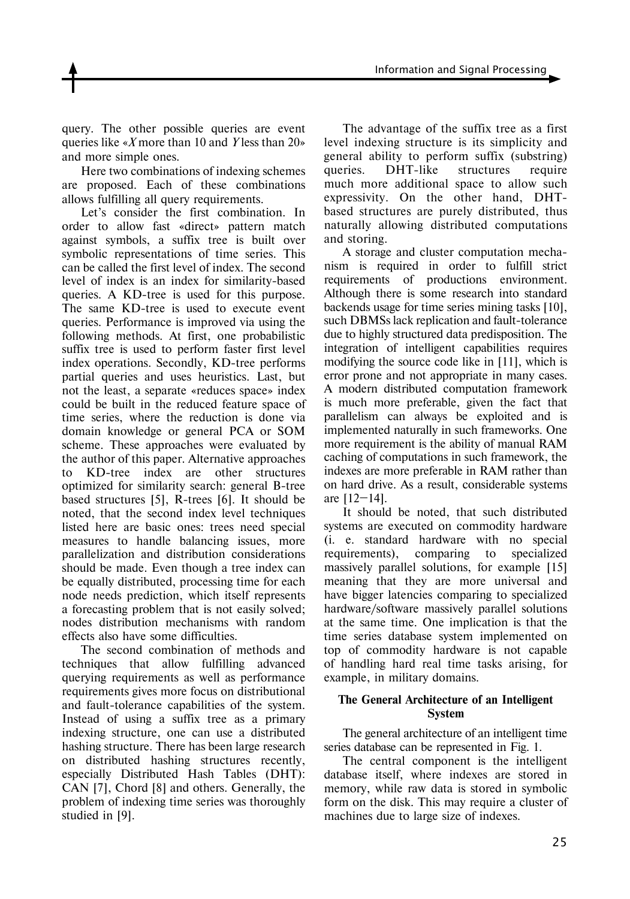Information and Signal Processing

query. The other possible queries are event queries like «*X* more than 10 and *Y* less than 20» and more simple ones.

Here two combinations of indexing schemes are proposed. Each of these combinations allows fulfilling all query requirements.

Let's consider the first combination. In order to allow fast «direct» pattern match against symbols, a suffix tree is built over symbolic representations of time series. This can be called the first level of index. The second level of index is an index for similarity-based queries. A KD-tree is used for this purpose. The same KD-tree is used to execute event queries. Performance is improved via using the following methods. At first, one probabilistic suffix tree is used to perform faster first level index operations. Secondly, KD-tree performs partial queries and uses heuristics. Last, but not the least, a separate «reduces space» index could be built in the reduced feature space of time series, where the reduction is done via domain knowledge or general PCA or SOM scheme. These approaches were evaluated by the author of this paper. Alternative approaches to KD-tree index are other structures optimized for similarity search: general B-tree based structures [5], R-trees [6]. It should be noted, that the second index level techniques listed here are basic ones: trees need special measures to handle balancing issues, more parallelization and distribution considerations should be made. Even though a tree index can be equally distributed, processing time for each node needs prediction, which itself represents a forecasting problem that is not easily solved; nodes distribution mechanisms with random effects also have some difficulties.

The second combination of methods and techniques that allow fulfilling advanced querying requirements as well as performance requirements gives more focus on distributional and fault-tolerance capabilities of the system. Instead of using a suffix tree as a primary indexing structure, one can use a distributed hashing structure. There has been large research on distributed hashing structures recently, especially Distributed Hash Tables (DHT): CAN [7], Chord [8] and others. Generally, the problem of indexing time series was thoroughly studied in [9].

The advantage of the suffix tree as a first level indexing structure is its simplicity and general ability to perform suffix (substring) queries. DHT-like structures require much more additional space to allow such expressivity. On the other hand, DHTbased structures are purely distributed, thus naturally allowing distributed computations and storing.

A storage and cluster computation mechanism is required in order to fulfill strict requirements of productions environment. Although there is some research into standard backends usage for time series mining tasks [10], such DBMSs lack replication and fault-tolerance due to highly structured data predisposition. The integration of intelligent capabilities requires modifying the source code like in [11], which is error prone and not appropriate in many cases. A modern distributed computation framework is much more preferable, given the fact that parallelism can always be exploited and is implemented naturally in such frameworks. One more requirement is the ability of manual RAM caching of computations in such framework, the indexes are more preferable in RAM rather than on hard drive. As a result, considerable systems are [12–14].

It should be noted, that such distributed systems are executed on commodity hardware (i. e. standard hardware with no special requirements), comparing to specialized massively parallel solutions, for example [15] meaning that they are more universal and have bigger latencies comparing to specialized hardware/software massively parallel solutions at the same time. One implication is that the time series database system implemented on top of commodity hardware is not capable of handling hard real time tasks arising, for example, in military domains.

### **The General Architecture of an Intelligent System**

The general architecture of an intelligent time series database can be represented in Fig. 1.

The central component is the intelligent database itself, where indexes are stored in memory, while raw data is stored in symbolic form on the disk. This may require a cluster of machines due to large size of indexes.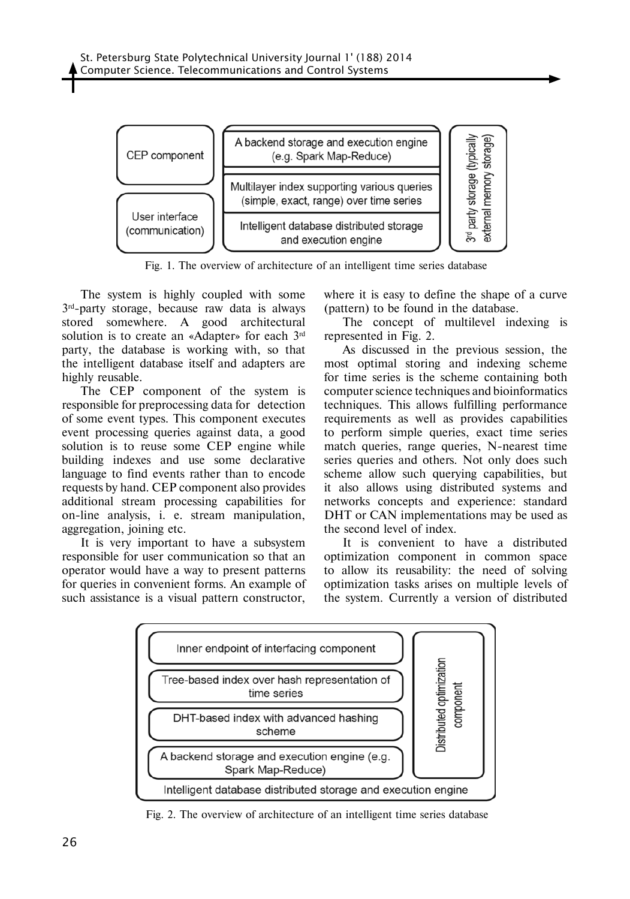

Fig. 1. The overview of architecture of an intelligent time series database

The system is highly coupled with some 3rd-party storage, because raw data is always stored somewhere. A good architectural solution is to create an «Adapter» for each 3rd party, the database is working with, so that the intelligent database itself and adapters are highly reusable.

The CEP component of the system is responsible for preprocessing data for detection of some event types. This component executes event processing queries against data, a good solution is to reuse some CEP engine while building indexes and use some declarative language to find events rather than to encode requests by hand. CEP component also provides additional stream processing capabilities for on-line analysis, i. e. stream manipulation, aggregation, joining etc.

It is very important to have a subsystem responsible for user communication so that an operator would have a way to present patterns for queries in convenient forms. An example of such assistance is a visual pattern constructor,

where it is easy to define the shape of a curve (pattern) to be found in the database.

The concept of multilevel indexing is represented in Fig. 2.

As discussed in the previous session, the most optimal storing and indexing scheme for time series is the scheme containing both computer science techniques and bioinformatics techniques. This allows fulfilling performance requirements as well as provides capabilities to perform simple queries, exact time series match queries, range queries, N-nearest time series queries and others. Not only does such scheme allow such querying capabilities, but it also allows using distributed systems and networks concepts and experience: standard DHT or CAN implementations may be used as the second level of index.

It is convenient to have a distributed optimization component in common space to allow its reusability: the need of solving optimization tasks arises on multiple levels of the system. Currently a version of distributed



Fig. 2. The overview of architecture of an intelligent time series database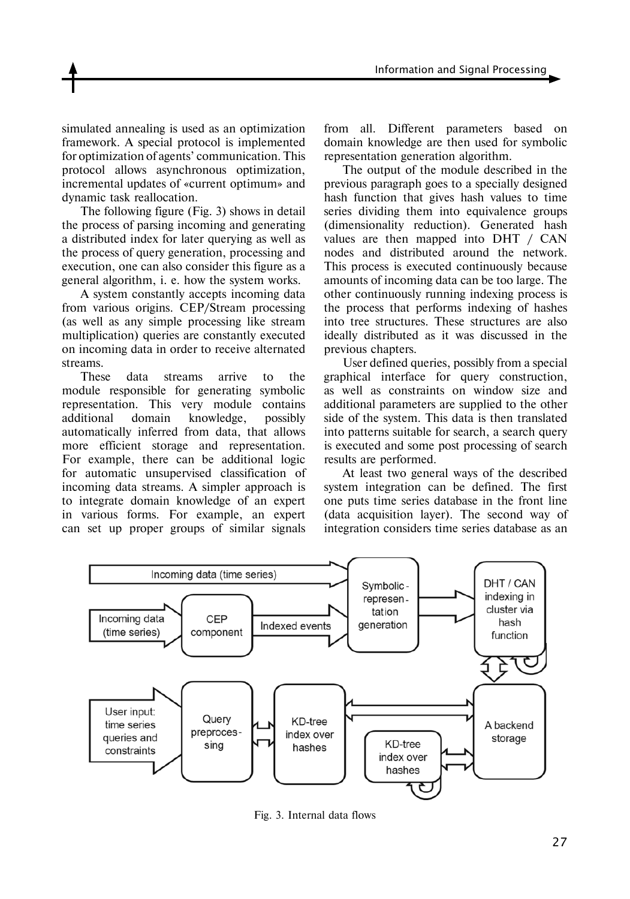simulated annealing is used as an optimization framework. A special protocol is implemented for optimization of agents' communication. This protocol allows asynchronous optimization, incremental updates of «current optimum» and dynamic task reallocation.

The following figure (Fig. 3) shows in detail the process of parsing incoming and generating a distributed index for later querying as well as the process of query generation, processing and execution, one can also consider this figure as a general algorithm, i. e. how the system works.

A system constantly accepts incoming data from various origins. CEP/Stream processing (as well as any simple processing like stream multiplication) queries are constantly executed on incoming data in order to receive alternated streams.

These data streams arrive to the module responsible for generating symbolic representation. This very module contains additional domain knowledge, possibly automatically inferred from data, that allows more efficient storage and representation. For example, there can be additional logic for automatic unsupervised classification of incoming data streams. A simpler approach is to integrate domain knowledge of an expert in various forms. For example, an expert can set up proper groups of similar signals

from all. Different parameters based on domain knowledge are then used for symbolic representation generation algorithm.

The output of the module described in the previous paragraph goes to a specially designed hash function that gives hash values to time series dividing them into equivalence groups (dimensionality reduction). Generated hash values are then mapped into DHT / CAN nodes and distributed around the network. This process is executed continuously because amounts of incoming data can be too large. The other continuously running indexing process is the process that performs indexing of hashes into tree structures. These structures are also ideally distributed as it was discussed in the previous chapters.

User defined queries, possibly from a special graphical interface for query construction, as well as constraints on window size and additional parameters are supplied to the other side of the system. This data is then translated into patterns suitable for search, a search query is executed and some post processing of search results are performed.

At least two general ways of the described system integration can be defined. The first one puts time series database in the front line (data acquisition layer). The second way of integration considers time series database as an



Fig. 3. Internal data flows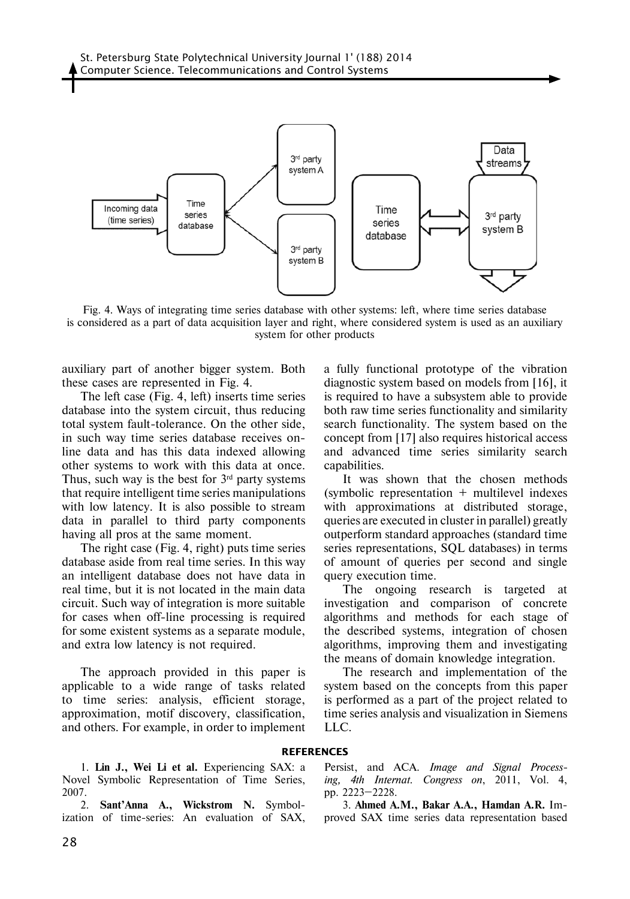

Fig. 4. Ways of integrating time series database with other systems: left, where time series database is considered as a part of data acquisition layer and right, where considered system is used as an auxiliary system for other products

auxiliary part of another bigger system. Both these cases are represented in Fig. 4.

The left case (Fig. 4, left) inserts time series database into the system circuit, thus reducing total system fault-tolerance. On the other side, in such way time series database receives online data and has this data indexed allowing other systems to work with this data at once. Thus, such way is the best for  $3<sup>rd</sup>$  party systems that require intelligent time series manipulations with low latency. It is also possible to stream data in parallel to third party components having all pros at the same moment.

The right case (Fig. 4, right) puts time series database aside from real time series. In this way an intelligent database does not have data in real time, but it is not located in the main data circuit. Such way of integration is more suitable for cases when off-line processing is required for some existent systems as a separate module, and extra low latency is not required.

The approach provided in this paper is applicable to a wide range of tasks related to time series: analysis, efficient storage, approximation, motif discovery, classification, and others. For example, in order to implement

a fully functional prototype of the vibration diagnostic system based on models from [16], it is required to have a subsystem able to provide both raw time series functionality and similarity search functionality. The system based on the concept from [17] also requires historical access and advanced time series similarity search capabilities.

It was shown that the chosen methods  $(symbolic representation + multilevel indexes$ with approximations at distributed storage, queries are executed in cluster in parallel) greatly outperform standard approaches (standard time series representations, SQL databases) in terms of amount of queries per second and single query execution time.

The ongoing research is targeted at investigation and comparison of concrete algorithms and methods for each stage of the described systems, integration of chosen algorithms, improving them and investigating the means of domain knowledge integration.

The research and implementation of the system based on the concepts from this paper is performed as a part of the project related to time series analysis and visualization in Siemens LLC.

#### **References**

1. **Lin J., Wei Li et al.** Experiencing SAX: a Novel Symbolic Representation of Time Series, 2007.

2. **Sant'Anna A., Wickstrom N.** Symbolization of time-series: An evaluation of SAX,

Persist, and ACA. *Image and Signal Processing, 4th Internat. Congress on*, 2011, Vol. 4, pp. 2223–2228.

3. **Ahmed A.M., Bakar A.A., Hamdan A.R.** Improved SAX time series data representation based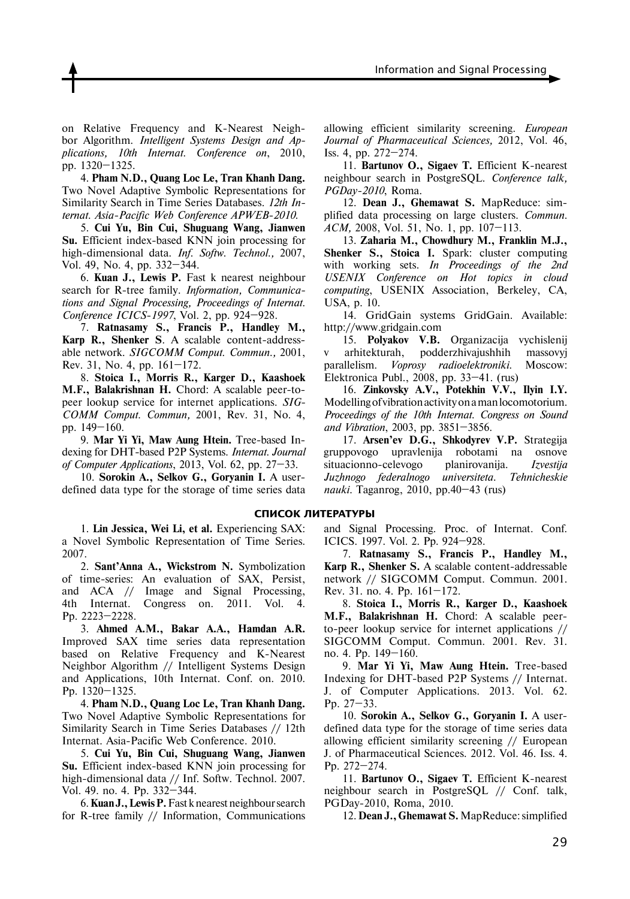on Relative Frequency and K-Nearest Neighbor Algorithm. *Intelligent Systems Design and Applications, 10th Internat. Conference on*, 2010, pp. 1320–1325.

4. **Pham N.D., Quang Loc Le, Tran Khanh Dang.**  Two Novel Adaptive Symbolic Representations for Similarity Search in Time Series Databases. *12th Internat. Asia-Pacific Web Conference APWEB-2010.*

5. **Cui Yu, Bin Cui, Shuguang Wang, Jianwen Su.** Efficient index-based KNN join processing for high-dimensional data. *Inf. Softw. Technol.,* 2007, Vol. 49, No. 4, pp. 332–344.

6. **Kuan J., Lewis P.** Fast k nearest neighbour search for R-tree family. *Information, Communications and Signal Processing, Proceedings of Internat. Conference ICICS-1997*, Vol. 2, pp. 924–928.

7. **Ratnasamy S., Francis P., Handley M., Karp R., Shenker S**. A scalable content-addressable network. *SIGCOMM Comput. Commun.,* 2001, Rev. 31, No. 4, pp. 161–172.

8. **Stoica I., Morris R., Karger D., Kaashoek M.F., Balakrishnan H.** Chord: A scalable peer-topeer lookup service for internet applications. *SIG-COMM Comput. Commun,* 2001, Rev. 31, No. 4, pp. 149–160.

9. **Mar Yi Yi, Maw Aung Htein.** Tree-based Indexing for DHT-based P2P Systems. *Internat. Journal of Computer Applications*, 2013, Vol. 62, pp. 27–33.

10. **Sorokin A., Selkov G., Goryanin I.** A userdefined data type for the storage of time series data

1. **Lin Jessica, Wei Li, et al.** Experiencing SAX: a Novel Symbolic Representation of Time Series. 2007.

2. **Sant'Anna A., Wickstrom N.** Symbolization of time-series: An evaluation of SAX, Persist, and ACA // Image and Signal Processing,<br>4th Internat. Congress on. 2011. Vol. 4. 4th Internat. Congress on. 2011. Vol. 4. Pp. 2223–2228.

3. **Ahmed A.M., Bakar A.A., Hamdan A.R.** Improved SAX time series data representation based on Relative Frequency and K-Nearest Neighbor Algorithm // Intelligent Systems Design and Applications, 10th Internat. Conf. on. 2010. Pp. 1320–1325.

4. **Pham N.D., Quang Loc Le, Tran Khanh Dang.** Two Novel Adaptive Symbolic Representations for Similarity Search in Time Series Databases // 12th Internat. Asia-Pacific Web Conference. 2010.

5. **Cui Yu, Bin Cui, Shuguang Wang, Jianwen Su.** Efficient index-based KNN join processing for high-dimensional data // Inf. Softw. Technol. 2007*.*  Vol. 49. no. 4. Pp. 332–344.

6. **Kuan J., Lewis P.** Fast k nearest neighbour search for R-tree family // Information, Communications allowing efficient similarity screening. *European Journal of Pharmaceutical Sciences,* 2012, Vol. 46, Iss. 4, pp. 272–274.

11. **Bartunov O., Sigaev T.** Efficient K-nearest neighbour search in PostgreSQL. *Conference talk, PGDay-2010*, Roma.

12. **Dean J., Ghemawat S.** MapReduce: simplified data processing on large clusters. *Commun. ACM,* 2008, Vol. 51, No. 1, pp. 107–113.

13. **Zaharia M., Chowdhury M., Franklin M.J., Shenker S., Stoica I.** Spark: cluster computing with working sets. *In Proceedings of the 2nd USENIX Conference on Hot topics in cloud computing*, USENIX Association, Berkeley, CA, USA, p. 10.

14. GridGain systems GridGain. Available: http://www.gridgain.com

15. **Polyakov V.B.** Organizacija vychislenij v arhitekturah, podderzhivajushhih massovyj parallelism. *Voprosy radioelektroniki*. Moscow: Elektronica Publ., 2008, pp. 33–41. (rus)

16. **Zinkovsky A.V., Potekhin V.V., Ilyin I.Y.**  Modelling of vibration activity on a man locomotorium. *Proceedings of the 10th Internat. Congress on Sound and Vibration*, 2003, pp. 3851–3856.

17. **Arsen'ev D.G., Shkodyrev V.P.** Strategija gruppovogo upravlenija robotami na osnove situacionno-celevogo planirovanija. *Izvestija Juzhnogo federalnogo universiteta. Tehnicheskie nauki.* Taganrog, 2010, pp.40–43 (rus)

#### **СПИСОК ЛИТЕРАТУРЫ**

and Signal Processing. Proc. of Internat. Conf. ICICS. 1997. Vol. 2. Pp. 924–928.

7. **Ratnasamy S., Francis P., Handley M., Karp R., Shenker S.** A scalable content-addressable network // SIGCOMM Comput. Commun. 2001. Rev. 31. no. 4. Pp. 161–172.

8. **Stoica I., Morris R., Karger D., Kaashoek M.F., Balakrishnan H.** Chord: A scalable peerto-peer lookup service for internet applications // SIGCOMM Comput. Commun. 2001. Rev. 31. no. 4. Pp. 149–160.

9. **Mar Yi Yi, Maw Aung Htein.** Tree-based Indexing for DHT-based P2P Systems // Internat. J. of Computer Applications. 2013. Vol. 62. Pp. 27–33.

10. **Sorokin A., Selkov G., Goryanin I.** A userdefined data type for the storage of time series data allowing efficient similarity screening // European J. of Pharmaceutical Sciences. 2012. Vol. 46. Iss. 4. Pp. 272–274.

11. **Bartunov O., Sigaev T.** Efficient K-nearest neighbour search in PostgreSQL // Conf. talk, PGDay-2010, Roma, 2010.

12. **Dean J., Ghemawat S.** MapReduce: simplified